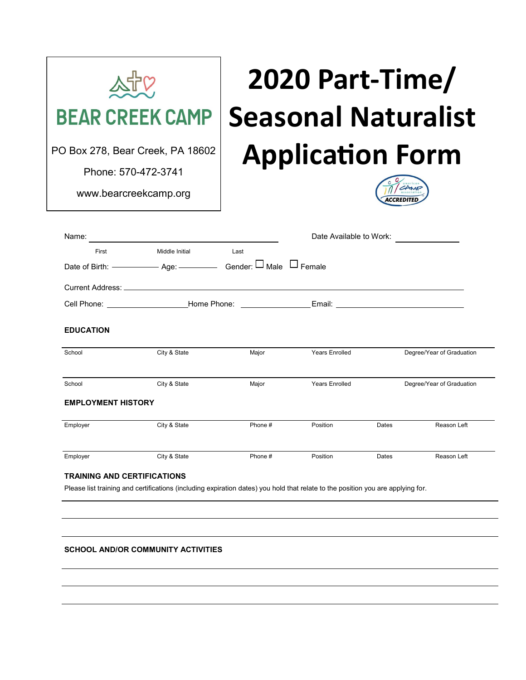| <b>BEAR CREEK CAMP</b><br>PO Box 278, Bear Creek, PA 18602<br>Phone: 570-472-3741<br>www.bearcreekcamp.org |                                                                                                                                 | 2020 Part-Time/<br><b>Seasonal Naturalist</b><br><b>Application Form</b> |                         |       |                           |
|------------------------------------------------------------------------------------------------------------|---------------------------------------------------------------------------------------------------------------------------------|--------------------------------------------------------------------------|-------------------------|-------|---------------------------|
| Name:                                                                                                      | <u> 1989 - Johann Stein, fransk politik (</u>                                                                                   |                                                                          | Date Available to Work: |       |                           |
| First<br>Current Address: ____________                                                                     | Middle Initial                                                                                                                  | Last                                                                     |                         |       |                           |
|                                                                                                            | Cell Phone: _____________________Home Phone: __________________Email: _____________________________                             |                                                                          |                         |       |                           |
| <b>EDUCATION</b>                                                                                           |                                                                                                                                 |                                                                          |                         |       |                           |
| School                                                                                                     | City & State                                                                                                                    | Major                                                                    | <b>Years Enrolled</b>   |       | Degree/Year of Graduation |
| School                                                                                                     | City & State                                                                                                                    | Major                                                                    | <b>Years Enrolled</b>   |       | Degree/Year of Graduation |
| <b>EMPLOYMENT HISTORY</b>                                                                                  |                                                                                                                                 |                                                                          |                         |       |                           |
| Employer                                                                                                   | City & State                                                                                                                    | Phone #                                                                  | Position                | Dates | Reason Left               |
| Employer                                                                                                   | City & State                                                                                                                    | Phone#                                                                   | Position                | Dates | Reason Left               |
| <b>TRAINING AND CERTIFICATIONS</b>                                                                         | Please list training and certifications (including expiration dates) you hold that relate to the position you are applying for. |                                                                          |                         |       |                           |
|                                                                                                            |                                                                                                                                 |                                                                          |                         |       |                           |

## **SCHOOL AND/OR COMMUNITY ACTIVITIES**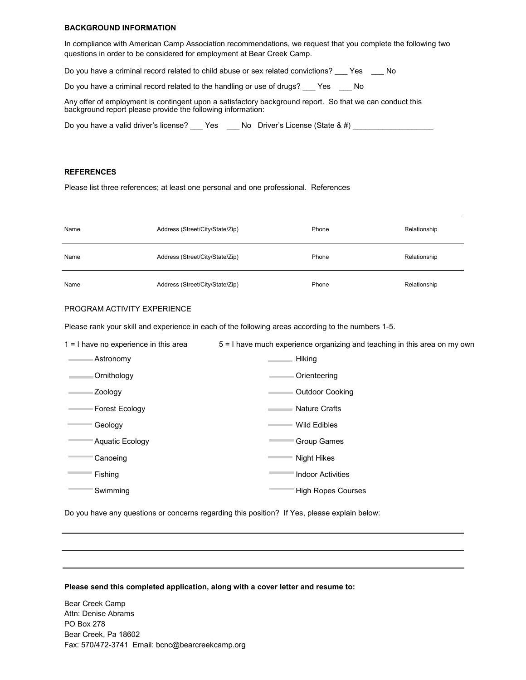#### **BACKGROUND INFORMATION**

In compliance with American Camp Association recommendations, we request that you complete the following two questions in order to be considered for employment at Bear Creek Camp.

Do you have a criminal record related to child abuse or sex related convictions? \_\_\_ Yes \_\_\_ No

Do you have a criminal record related to the handling or use of drugs? \_\_\_ Yes \_\_\_ No

Any offer of employment is contingent upon a satisfactory background report. So that we can conduct this background report please provide the following information:

| Do you have a valid driver's license? | Yes | No Driver's License (State $\&$ #) |
|---------------------------------------|-----|------------------------------------|
|                                       |     |                                    |

#### **REFERENCES**

Please list three references; at least one personal and one professional. References

| Name                                                                                                               | Address (Street/City/State/Zip) | Phone                     | Relationship |  |  |  |  |
|--------------------------------------------------------------------------------------------------------------------|---------------------------------|---------------------------|--------------|--|--|--|--|
| Name                                                                                                               | Address (Street/City/State/Zip) | Phone                     | Relationship |  |  |  |  |
| Name                                                                                                               | Address (Street/City/State/Zip) | Phone                     | Relationship |  |  |  |  |
| PROGRAM ACTIVITY EXPERIENCE                                                                                        |                                 |                           |              |  |  |  |  |
| Please rank your skill and experience in each of the following areas according to the numbers 1-5.                 |                                 |                           |              |  |  |  |  |
| 1 = I have no experience in this area<br>5 = I have much experience organizing and teaching in this area on my own |                                 |                           |              |  |  |  |  |
| ⊧ Astronomy                                                                                                        |                                 | Hiking                    |              |  |  |  |  |
| Ornithology                                                                                                        |                                 | Orienteering              |              |  |  |  |  |
| ⊧ Zoology                                                                                                          |                                 | <b>Outdoor Cooking</b>    |              |  |  |  |  |
| Forest Ecology –                                                                                                   |                                 | ⊦ Nature Crafts           |              |  |  |  |  |
| − Geology                                                                                                          |                                 | Wild Edibles              |              |  |  |  |  |
| <b>Aquatic Ecology</b>                                                                                             |                                 | Group Games               |              |  |  |  |  |
| Canoeing                                                                                                           |                                 | <b>Night Hikes</b>        |              |  |  |  |  |
| Fishing                                                                                                            |                                 | <b>Indoor Activities</b>  |              |  |  |  |  |
| Swimming                                                                                                           |                                 | <b>High Ropes Courses</b> |              |  |  |  |  |

Do you have any questions or concerns regarding this position? If Yes, please explain below:

#### **Please send this completed application, along with a cover letter and resume to:**

Bear Creek Camp Attn: Denise Abrams PO Box 278 Bear Creek, Pa 18602 Fax: 570/472-3741 Email: bcnc@bearcreekcamp.org